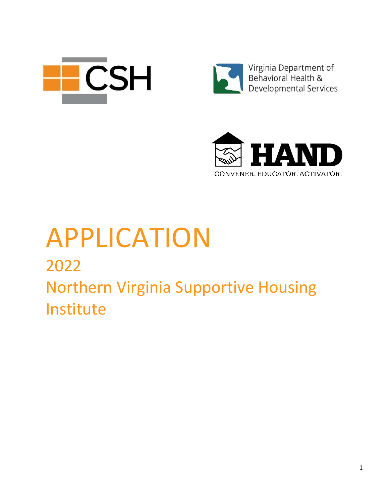



Virginia Department of<br>Behavioral Health & Developmental Services



# APPLICATION

## 2022 Northern Virginia Supportive Housing Institute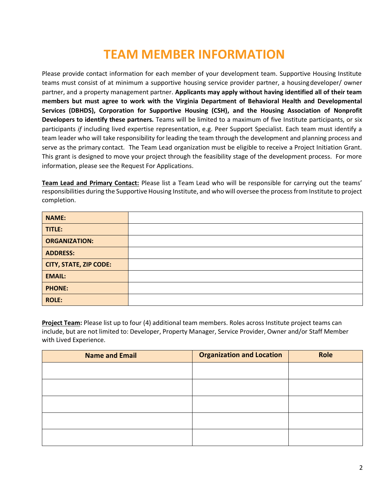## **TEAM MEMBER INFORMATION**

Please provide contact information for each member of your development team. Supportive Housing Institute teams must consist of at minimum a supportive housing service provider partner, a housingdeveloper/ owner partner, and a property management partner. **Applicants may apply without having identified all of their team members but must agree to work with the Virginia Department of Behavioral Health and Developmental Services (DBHDS), Corporation for Supportive Housing (CSH), and the Housing Association of Nonprofit Developers to identify these partners.** Teams will be limited to a maximum of five Institute participants, or six participants *if* including lived expertise representation, e.g. Peer Support Specialist. Each team must identify a team leader who will take responsibility for leading the team through the development and planning process and serve as the primary contact. The Team Lead organization must be eligible to receive a Project Initiation Grant. This grant is designed to move your project through the feasibility stage of the development process. For more information, please see the Request For Applications.

**Team Lead and Primary Contact:** Please list a Team Lead who will be responsible for carrying out the teams' responsibilities during the Supportive Housing Institute, and who will oversee the process from Institute to project completion.

| <b>NAME:</b>                  |  |
|-------------------------------|--|
| TITLE:                        |  |
| <b>ORGANIZATION:</b>          |  |
| <b>ADDRESS:</b>               |  |
| <b>CITY, STATE, ZIP CODE:</b> |  |
| <b>EMAIL:</b>                 |  |
| <b>PHONE:</b>                 |  |
| <b>ROLE:</b>                  |  |

**Project Team:** Please list up to four (4) additional team members. Roles across Institute project teams can include, but are not limited to: Developer, Property Manager, Service Provider, Owner and/or Staff Member with Lived Experience.

| <b>Name and Email</b> | <b>Organization and Location</b> | Role |
|-----------------------|----------------------------------|------|
|                       |                                  |      |
|                       |                                  |      |
|                       |                                  |      |
|                       |                                  |      |
|                       |                                  |      |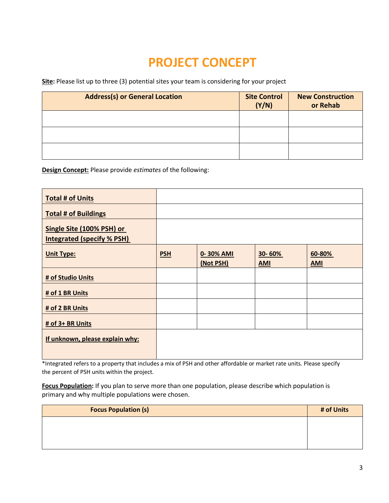## **PROJECT CONCEPT**

**Site:** Please list up to three (3) potential sites your team is considering for your project

| <b>Address(s) or General Location</b> | <b>Site Control</b><br>(Y/N) | <b>New Construction</b><br>or Rehab |
|---------------------------------------|------------------------------|-------------------------------------|
|                                       |                              |                                     |
|                                       |                              |                                     |
|                                       |                              |                                     |

**Design Concept:** Please provide *estimates* of the following:

| <b>Total # of Units</b>                                        |            |                        |                      |                      |
|----------------------------------------------------------------|------------|------------------------|----------------------|----------------------|
| <b>Total # of Buildings</b>                                    |            |                        |                      |                      |
| Single Site (100% PSH) or<br><b>Integrated (specify % PSH)</b> |            |                        |                      |                      |
| <b>Unit Type:</b>                                              | <b>PSH</b> | 0-30% AMI<br>(Not PSH) | 30-60%<br><b>AMI</b> | 60-80%<br><b>AMI</b> |
| # of Studio Units                                              |            |                        |                      |                      |
| # of 1 BR Units                                                |            |                        |                      |                      |
| # of 2 BR Units                                                |            |                        |                      |                      |
| # of 3+ BR Units                                               |            |                        |                      |                      |
| If unknown, please explain why:                                |            |                        |                      |                      |

\*Integrated refers to a property that includes a mix of PSH and other affordable or market rate units. Please specify the percent of PSH units within the project.

**Focus Population:** If you plan to serve more than one population, please describe which population is primary and why multiple populations were chosen.

| <b>Focus Population (s)</b> | # of Units |
|-----------------------------|------------|
|                             |            |
|                             |            |
|                             |            |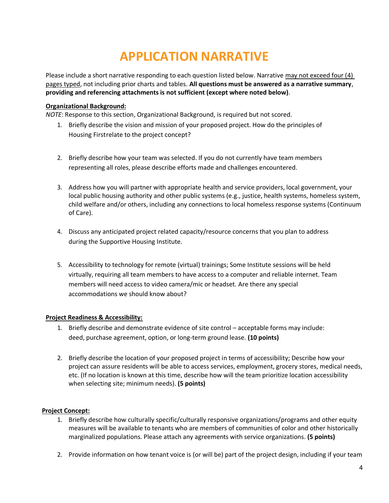## **APPLICATION NARRATIVE**

Please include a short narrative responding to each question listed below. Narrative may not exceed four (4) pages typed, not including prior charts and tables. **All questions must be answered as a narrative summary**, **providing and referencing attachments is not sufficient (except where noted below)**.

#### **Organizational Background:**

*NOTE*: Response to this section, Organizational Background, is required but not scored.

- 1. Briefly describe the vision and mission of your proposed project. How do the principles of Housing Firstrelate to the project concept?
- 2. Briefly describe how your team was selected. If you do not currently have team members representing all roles, please describe efforts made and challenges encountered.
- 3. Address how you will partner with appropriate health and service providers, local government, your local public housing authority and other public systems (e.g., justice, health systems, homeless system, child welfare and/or others, including any connections to local homeless response systems (Continuum of Care).
- 4. Discuss any anticipated project related capacity/resource concerns that you plan to address during the Supportive Housing Institute.
- 5. Accessibility to technology for remote (virtual) trainings; Some Institute sessions will be held virtually, requiring all team members to have access to a computer and reliable internet. Team members will need access to video camera/mic or headset. Are there any special accommodations we should know about?

#### **Project Readiness & Accessibility:**

- 1. Briefly describe and demonstrate evidence of site control acceptable forms may include: deed, purchase agreement, option, or long-term ground lease. **(10 points)**
- 2. Briefly describe the location of your proposed project in terms of accessibility; Describe how your project can assure residents will be able to access services, employment, grocery stores, medical needs, etc. (If no location is known at this time, describe how will the team prioritize location accessibility when selecting site; minimum needs). **(5 points)**

#### **Project Concept:**

- 1. Briefly describe how culturally specific/culturally responsive organizations/programs and other equity measures will be available to tenants who are members of communities of color and other historically marginalized populations. Please attach any agreements with service organizations. **(5 points)**
- 2. Provide information on how tenant voice is (or will be) part of the project design, including if your team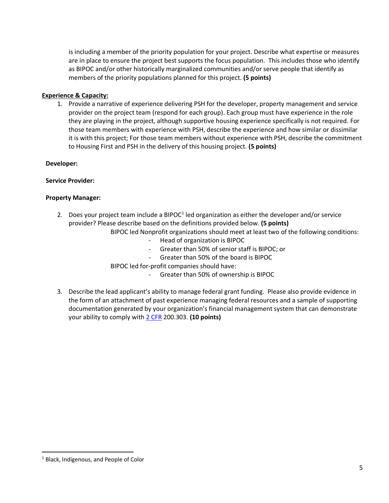is including a member of the priority population for your project. Describe what expertise or measures are in place to ensure the project best supports the focus population. This includes those who identify as BIPOC and/or other historically marginalized communities and/or serve people that identify as members of the priority populations planned for this project. **(5 points)**

#### **Experience & Capacity:**

1. Provide a narrative of experience delivering PSH for the developer, property management and service provider on the project team (respond for each group). Each group must have experience in the role they are playing in the project, although supportive housing experience specifically is not required. For those team members with experience with PSH, describe the experience and how similar or dissimilar it is with this project; For those team members without experience with PSH, describe the commitment to Housing First and PSH in the delivery of this housing project. **(5 points)**

#### **Developer:**

#### **Service Provider:**

#### **Property Manager:**

2. Does your project team include a BIPOC $1$  led organization as either the developer and/or service provider? Please describe based on the definitions provided below. **(5 points)**

BIPOC led Nonprofit organizations should meet at least two of the following conditions:

- Head of organization is BIPOC
- Greater than 50% of senior staff is BIPOC; or
- Greater than 50% of the board is BIPOC
- BIPOC led for-profit companies should have:
	- Greater than 50% of ownership is BIPOC
- 3. Describe the lead applicant's ability to manage federal grant funding. Please also provide evidence in the form of an attachment of past experience managing federal resources and a sample of supporting documentation generated by your organization's financial management system that can demonstrate your ability to comply with [2 CFR](https://www.ecfr.gov/current/title-2/subtitle-A/chapter-II/part-200/subpart-D/section-200.302) 200.303. **(10 points)**

 $\overline{\phantom{a}}$ 

<sup>1</sup> Black, Indigenous, and People of Color